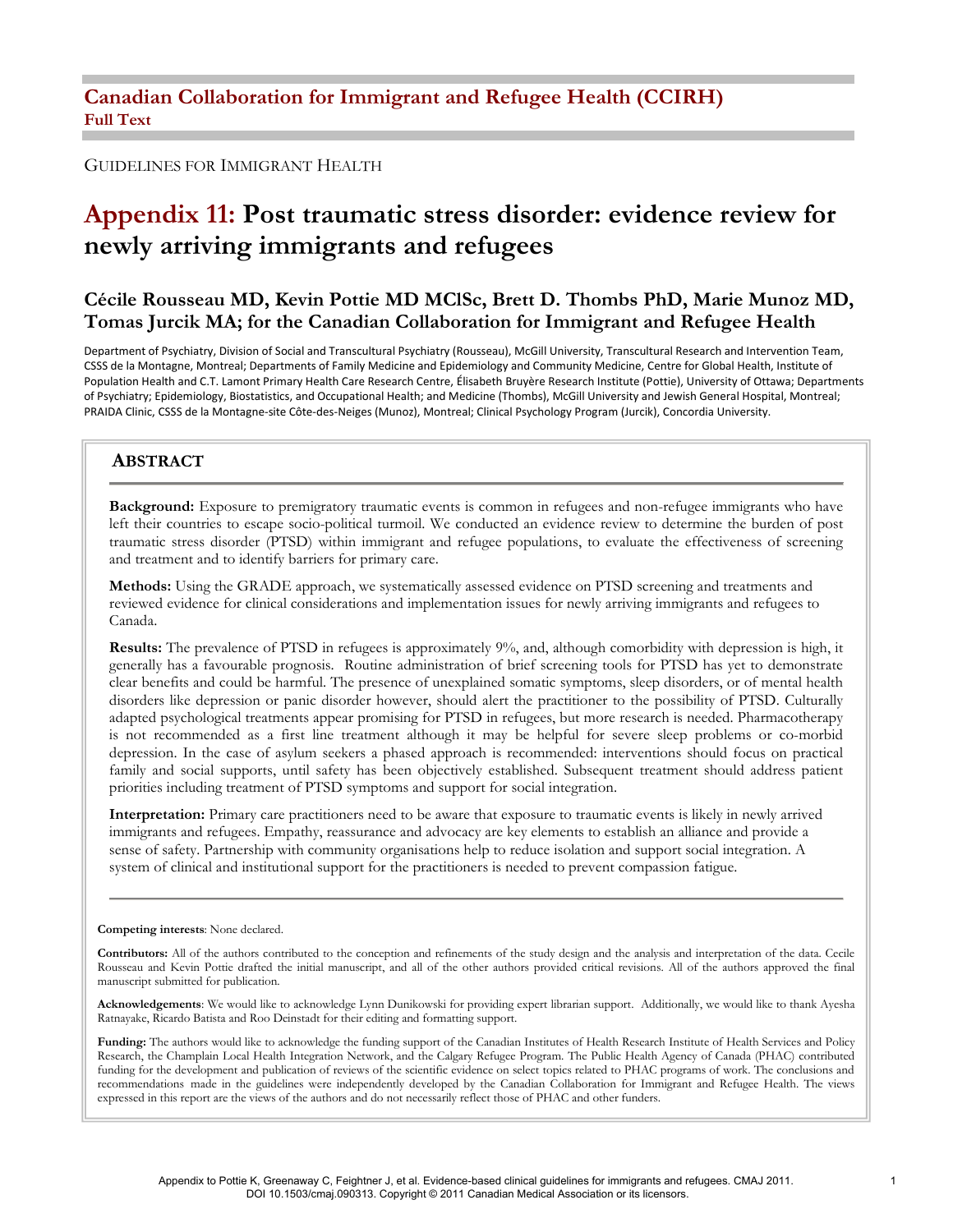#### GUIDELINES FOR IMMIGRANT HEALTH

# Appendix 11: Post traumatic stress disorder: evidence review for newly arriving immigrants and refugees

### Cécile Rousseau MD, Kevin Pottie MD MClSc, Brett D. Thombs PhD, Marie Munoz MD, Tomas Jurcik MA; for the Canadian Collaboration for Immigrant and Refugee Health

Department of Psychiatry, Division of Social and Transcultural Psychiatry (Rousseau), McGill University, Transcultural Research and Intervention Team, CSSS de la Montagne, Montreal; Departments of Family Medicine and Epidemiology and Community Medicine, Centre for Global Health, Institute of Population Health and C.T. Lamont Primary Health Care Research Centre, Élisabeth Bruyère Research Institute (Pottie), University of Ottawa; Departments of Psychiatry; Epidemiology, Biostatistics, and Occupational Health; and Medicine (Thombs), McGill University and Jewish General Hospital, Montreal; PRAIDA Clinic, CSSS de la Montagne-site Côte-des-Neiges (Munoz), Montreal; Clinical Psychology Program (Jurcik), Concordia University.

### ABSTRACT

Background: Exposure to premigratory traumatic events is common in refugees and non-refugee immigrants who have left their countries to escape socio-political turmoil. We conducted an evidence review to determine the burden of post traumatic stress disorder (PTSD) within immigrant and refugee populations, to evaluate the effectiveness of screening and treatment and to identify barriers for primary care.

Methods: Using the GRADE approach, we systematically assessed evidence on PTSD screening and treatments and reviewed evidence for clinical considerations and implementation issues for newly arriving immigrants and refugees to Canada.

Results: The prevalence of PTSD in refugees is approximately 9%, and, although comorbidity with depression is high, it generally has a favourable prognosis. Routine administration of brief screening tools for PTSD has yet to demonstrate clear benefits and could be harmful. The presence of unexplained somatic symptoms, sleep disorders, or of mental health disorders like depression or panic disorder however, should alert the practitioner to the possibility of PTSD. Culturally adapted psychological treatments appear promising for PTSD in refugees, but more research is needed. Pharmacotherapy is not recommended as a first line treatment although it may be helpful for severe sleep problems or co-morbid depression. In the case of asylum seekers a phased approach is recommended: interventions should focus on practical family and social supports, until safety has been objectively established. Subsequent treatment should address patient priorities including treatment of PTSD symptoms and support for social integration.

Interpretation: Primary care practitioners need to be aware that exposure to traumatic events is likely in newly arrived immigrants and refugees. Empathy, reassurance and advocacy are key elements to establish an alliance and provide a sense of safety. Partnership with community organisations help to reduce isolation and support social integration. A system of clinical and institutional support for the practitioners is needed to prevent compassion fatigue.

#### Competing interests: None declared.

Contributors: All of the authors contributed to the conception and refinements of the study design and the analysis and interpretation of the data. Cecile Rousseau and Kevin Pottie drafted the initial manuscript, and all of the other authors provided critical revisions. All of the authors approved the final manuscript submitted for publication.

Acknowledgements: We would like to acknowledge Lynn Dunikowski for providing expert librarian support. Additionally, we would like to thank Ayesha Ratnayake, Ricardo Batista and Roo Deinstadt for their editing and formatting support.

Funding: The authors would like to acknowledge the funding support of the Canadian Institutes of Health Research Institute of Health Services and Policy Research, the Champlain Local Health Integration Network, and the Calgary Refugee Program. The Public Health Agency of Canada (PHAC) contributed funding for the development and publication of reviews of the scientific evidence on select topics related to PHAC programs of work. The conclusions and recommendations made in the guidelines were independently developed by the Canadian Collaboration for Immigrant and Refugee Health. The views expressed in this report are the views of the authors and do not necessarily reflect those of PHAC and other funders.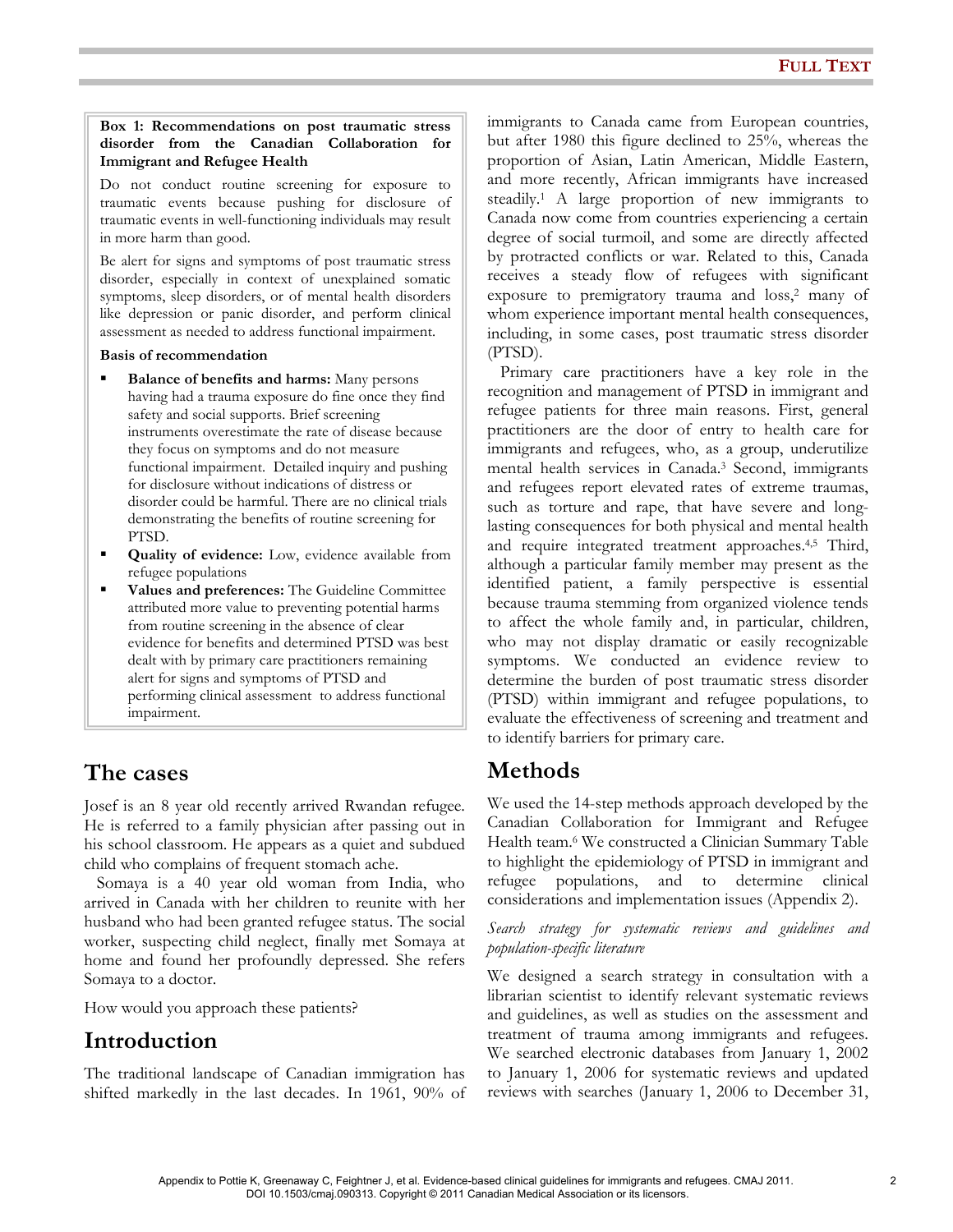#### Box 1: Recommendations on post traumatic stress disorder from the Canadian Collaboration for Immigrant and Refugee Health

Do not conduct routine screening for exposure to traumatic events because pushing for disclosure of traumatic events in well-functioning individuals may result in more harm than good.

Be alert for signs and symptoms of post traumatic stress disorder, especially in context of unexplained somatic symptoms, sleep disorders, or of mental health disorders like depression or panic disorder, and perform clinical assessment as needed to address functional impairment.

#### Basis of recommendation

- Balance of benefits and harms: Many persons having had a trauma exposure do fine once they find safety and social supports. Brief screening instruments overestimate the rate of disease because they focus on symptoms and do not measure functional impairment. Detailed inquiry and pushing for disclosure without indications of distress or disorder could be harmful. There are no clinical trials demonstrating the benefits of routine screening for PTSD.
- **Quality of evidence:** Low, evidence available from refugee populations
- Values and preferences: The Guideline Committee attributed more value to preventing potential harms from routine screening in the absence of clear evidence for benefits and determined PTSD was best dealt with by primary care practitioners remaining alert for signs and symptoms of PTSD and performing clinical assessment to address functional impairment.

## The cases

Josef is an 8 year old recently arrived Rwandan refugee. He is referred to a family physician after passing out in his school classroom. He appears as a quiet and subdued child who complains of frequent stomach ache.

 Somaya is a 40 year old woman from India, who arrived in Canada with her children to reunite with her husband who had been granted refugee status. The social worker, suspecting child neglect, finally met Somaya at home and found her profoundly depressed. She refers Somaya to a doctor.

How would you approach these patients?

## Introduction

The traditional landscape of Canadian immigration has shifted markedly in the last decades. In 1961, 90% of immigrants to Canada came from European countries, but after 1980 this figure declined to 25%, whereas the proportion of Asian, Latin American, Middle Eastern, and more recently, African immigrants have increased steadily.<sup>1</sup> A large proportion of new immigrants to Canada now come from countries experiencing a certain degree of social turmoil, and some are directly affected by protracted conflicts or war. Related to this, Canada receives a steady flow of refugees with significant exposure to premigratory trauma and loss,<sup>2</sup> many of whom experience important mental health consequences, including, in some cases, post traumatic stress disorder (PTSD).

 Primary care practitioners have a key role in the recognition and management of PTSD in immigrant and refugee patients for three main reasons. First, general practitioners are the door of entry to health care for immigrants and refugees, who, as a group, underutilize mental health services in Canada.<sup>3</sup> Second, immigrants and refugees report elevated rates of extreme traumas, such as torture and rape, that have severe and longlasting consequences for both physical and mental health and require integrated treatment approaches.4,5 Third, although a particular family member may present as the identified patient, a family perspective is essential because trauma stemming from organized violence tends to affect the whole family and, in particular, children, who may not display dramatic or easily recognizable symptoms. We conducted an evidence review to determine the burden of post traumatic stress disorder (PTSD) within immigrant and refugee populations, to evaluate the effectiveness of screening and treatment and to identify barriers for primary care.

## Methods

We used the 14-step methods approach developed by the Canadian Collaboration for Immigrant and Refugee Health team.<sup>6</sup> We constructed a Clinician Summary Table to highlight the epidemiology of PTSD in immigrant and refugee populations, and to determine clinical considerations and implementation issues (Appendix 2).

Search strategy for systematic reviews and guidelines and population-specific literature

We designed a search strategy in consultation with a librarian scientist to identify relevant systematic reviews and guidelines, as well as studies on the assessment and treatment of trauma among immigrants and refugees. We searched electronic databases from January 1, 2002 to January 1, 2006 for systematic reviews and updated reviews with searches (January 1, 2006 to December 31,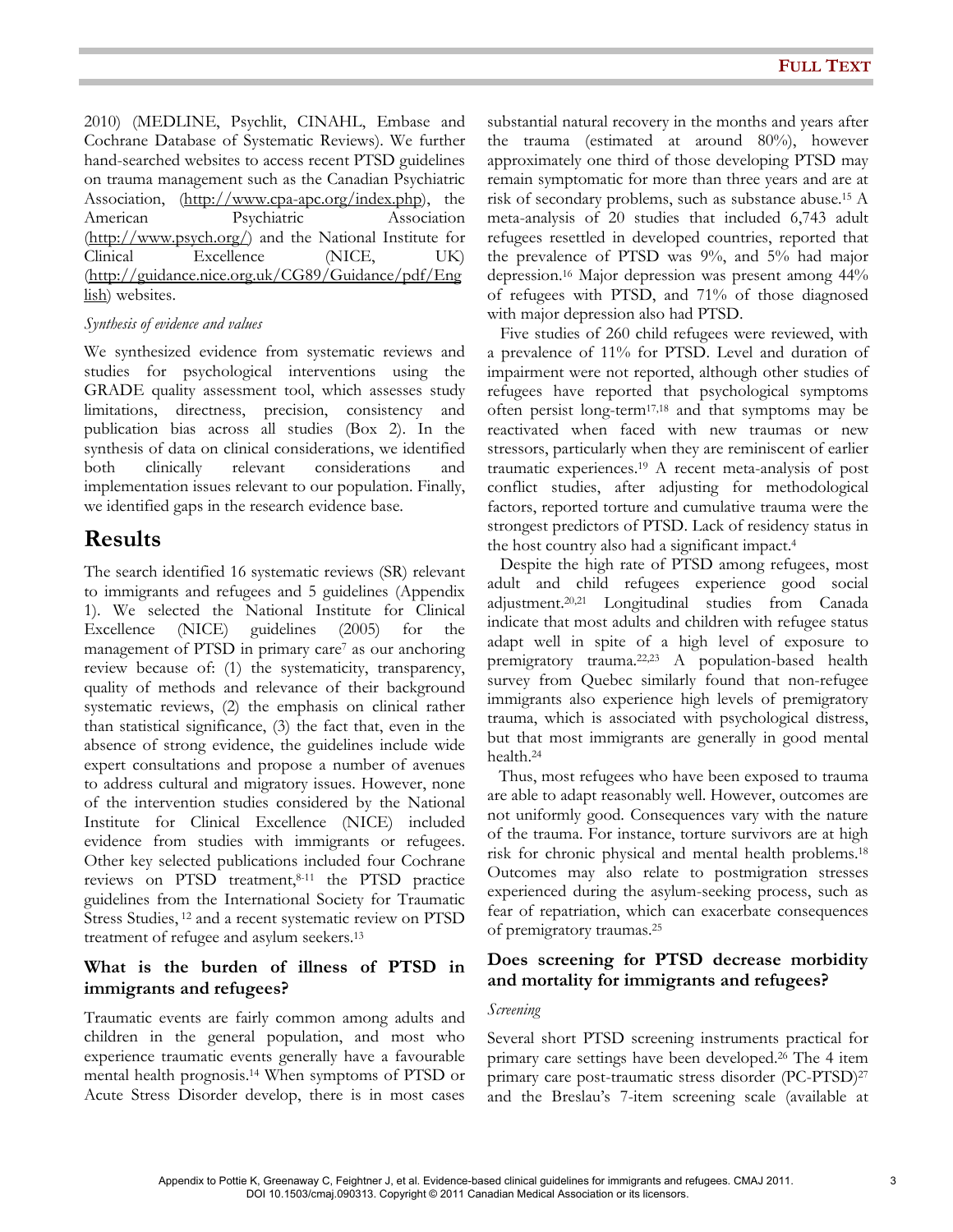2010) (MEDLINE, Psychlit, CINAHL, Embase and Cochrane Database of Systematic Reviews). We further hand-searched websites to access recent PTSD guidelines on trauma management such as the Canadian Psychiatric Association, (http://www.cpa-apc.org/index.php), the American Psychiatric Association (http://www.psych.org/) and the National Institute for Clinical Excellence (NICE, UK) (http://guidance.nice.org.uk/CG89/Guidance/pdf/Eng lish) websites.

### Synthesis of evidence and values

We synthesized evidence from systematic reviews and studies for psychological interventions using the GRADE quality assessment tool, which assesses study limitations, directness, precision, consistency and publication bias across all studies (Box 2). In the synthesis of data on clinical considerations, we identified both clinically relevant considerations and implementation issues relevant to our population. Finally, we identified gaps in the research evidence base.

## **Results**

The search identified 16 systematic reviews (SR) relevant to immigrants and refugees and 5 guidelines (Appendix 1). We selected the National Institute for Clinical Excellence (NICE) guidelines (2005) for the management of PTSD in primary care<sup>7</sup> as our anchoring review because of: (1) the systematicity, transparency, quality of methods and relevance of their background systematic reviews, (2) the emphasis on clinical rather than statistical significance, (3) the fact that, even in the absence of strong evidence, the guidelines include wide expert consultations and propose a number of avenues to address cultural and migratory issues. However, none of the intervention studies considered by the National Institute for Clinical Excellence (NICE) included evidence from studies with immigrants or refugees. Other key selected publications included four Cochrane reviews on PTSD treatment,8-11 the PTSD practice guidelines from the International Society for Traumatic Stress Studies, 12 and a recent systematic review on PTSD treatment of refugee and asylum seekers.<sup>13</sup>

### What is the burden of illness of PTSD in immigrants and refugees?

Traumatic events are fairly common among adults and children in the general population, and most who experience traumatic events generally have a favourable mental health prognosis.14 When symptoms of PTSD or Acute Stress Disorder develop, there is in most cases

substantial natural recovery in the months and years after the trauma (estimated at around 80%), however approximately one third of those developing PTSD may remain symptomatic for more than three years and are at risk of secondary problems, such as substance abuse.15 A meta-analysis of 20 studies that included 6,743 adult refugees resettled in developed countries, reported that the prevalence of PTSD was 9%, and 5% had major depression.16 Major depression was present among 44% of refugees with PTSD, and 71% of those diagnosed with major depression also had PTSD.

 Five studies of 260 child refugees were reviewed, with a prevalence of 11% for PTSD. Level and duration of impairment were not reported, although other studies of refugees have reported that psychological symptoms often persist long-term17,18 and that symptoms may be reactivated when faced with new traumas or new stressors, particularly when they are reminiscent of earlier traumatic experiences.19 A recent meta-analysis of post conflict studies, after adjusting for methodological factors, reported torture and cumulative trauma were the strongest predictors of PTSD. Lack of residency status in the host country also had a significant impact.<sup>4</sup>

 Despite the high rate of PTSD among refugees, most adult and child refugees experience good social adjustment.20,21 Longitudinal studies from Canada indicate that most adults and children with refugee status adapt well in spite of a high level of exposure to premigratory trauma.22,23 A population-based health survey from Quebec similarly found that non-refugee immigrants also experience high levels of premigratory trauma, which is associated with psychological distress, but that most immigrants are generally in good mental health.<sup>24</sup>

 Thus, most refugees who have been exposed to trauma are able to adapt reasonably well. However, outcomes are not uniformly good. Consequences vary with the nature of the trauma. For instance, torture survivors are at high risk for chronic physical and mental health problems.<sup>18</sup> Outcomes may also relate to postmigration stresses experienced during the asylum-seeking process, such as fear of repatriation, which can exacerbate consequences of premigratory traumas.<sup>25</sup>

### Does screening for PTSD decrease morbidity and mortality for immigrants and refugees?

#### Screening

Several short PTSD screening instruments practical for primary care settings have been developed.26 The 4 item primary care post-traumatic stress disorder (PC-PTSD)<sup>27</sup> and the Breslau's 7-item screening scale (available at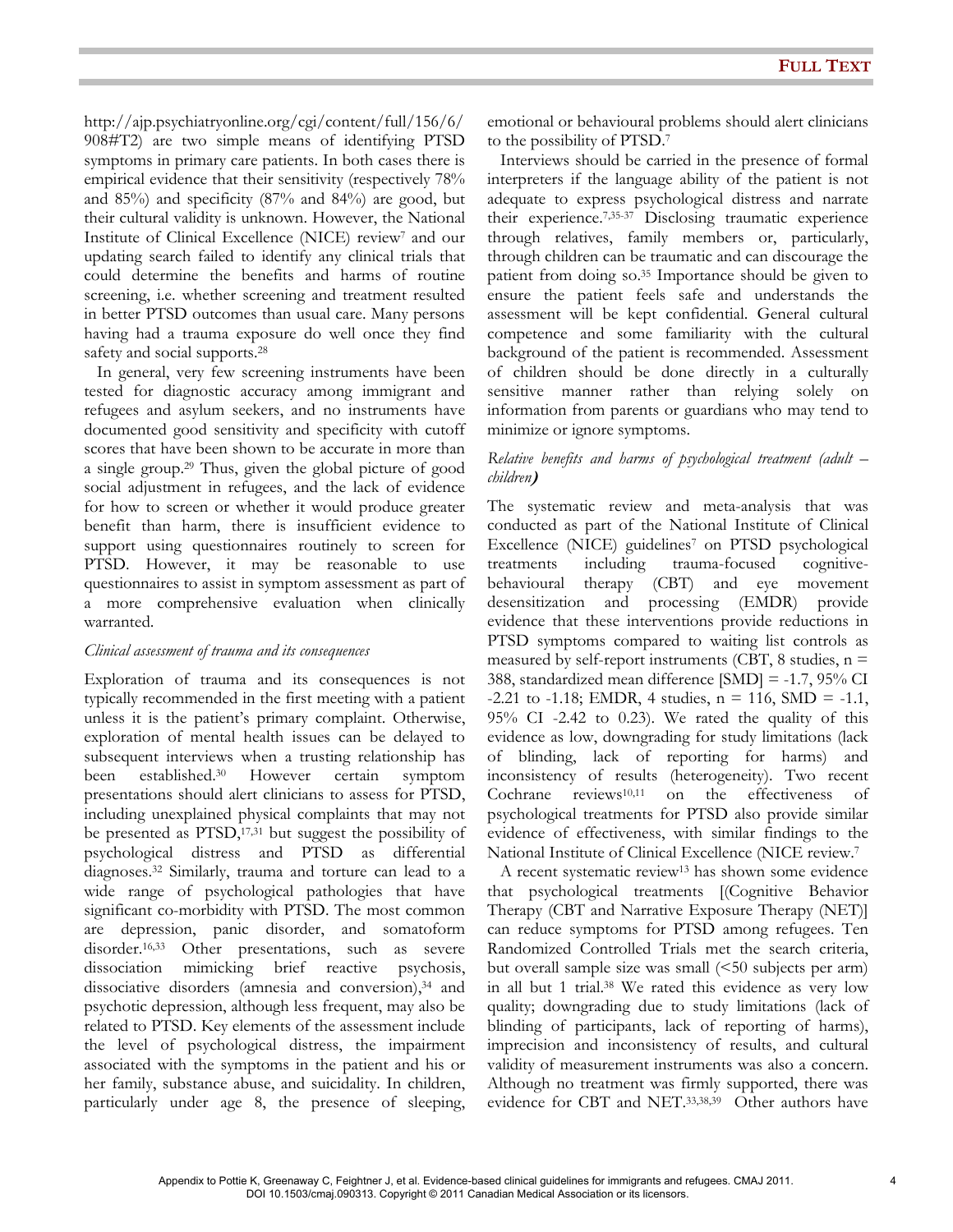http://ajp.psychiatryonline.org/cgi/content/full/156/6/ 908#T2) are two simple means of identifying PTSD symptoms in primary care patients. In both cases there is empirical evidence that their sensitivity (respectively 78% and 85%) and specificity (87% and 84%) are good, but their cultural validity is unknown. However, the National Institute of Clinical Excellence (NICE) review<sup>7</sup> and our updating search failed to identify any clinical trials that could determine the benefits and harms of routine screening, i.e. whether screening and treatment resulted in better PTSD outcomes than usual care. Many persons having had a trauma exposure do well once they find safety and social supports.<sup>28</sup>

 In general, very few screening instruments have been tested for diagnostic accuracy among immigrant and refugees and asylum seekers, and no instruments have documented good sensitivity and specificity with cutoff scores that have been shown to be accurate in more than a single group.29 Thus, given the global picture of good social adjustment in refugees, and the lack of evidence for how to screen or whether it would produce greater benefit than harm, there is insufficient evidence to support using questionnaires routinely to screen for PTSD. However, it may be reasonable to use questionnaires to assist in symptom assessment as part of a more comprehensive evaluation when clinically warranted.

#### Clinical assessment of trauma and its consequences

Exploration of trauma and its consequences is not typically recommended in the first meeting with a patient unless it is the patient's primary complaint. Otherwise, exploration of mental health issues can be delayed to subsequent interviews when a trusting relationship has been established.30 However certain symptom presentations should alert clinicians to assess for PTSD, including unexplained physical complaints that may not be presented as PTSD,<sup>17,31</sup> but suggest the possibility of psychological distress and PTSD as differential diagnoses.32 Similarly, trauma and torture can lead to a wide range of psychological pathologies that have significant co-morbidity with PTSD. The most common are depression, panic disorder, and somatoform<br>disorder.<sup>16,33</sup> Other presentations, such as severe Other presentations, such as severe dissociation mimicking brief reactive psychosis, dissociative disorders (amnesia and conversion),<sup>34</sup> and psychotic depression, although less frequent, may also be related to PTSD. Key elements of the assessment include the level of psychological distress, the impairment associated with the symptoms in the patient and his or her family, substance abuse, and suicidality. In children, particularly under age 8, the presence of sleeping, emotional or behavioural problems should alert clinicians to the possibility of PTSD.<sup>7</sup>

 Interviews should be carried in the presence of formal interpreters if the language ability of the patient is not adequate to express psychological distress and narrate their experience.7,35-37 Disclosing traumatic experience through relatives, family members or, particularly, through children can be traumatic and can discourage the patient from doing so.35 Importance should be given to ensure the patient feels safe and understands the assessment will be kept confidential. General cultural competence and some familiarity with the cultural background of the patient is recommended. Assessment of children should be done directly in a culturally sensitive manner rather than relying solely on information from parents or guardians who may tend to minimize or ignore symptoms.

#### Relative benefits and harms of psychological treatment (adult – children)

The systematic review and meta-analysis that was conducted as part of the National Institute of Clinical Excellence (NICE) guidelines<sup>7</sup> on PTSD psychological treatments including trauma-focused cognitivebehavioural therapy (CBT) and eye movement desensitization and processing (EMDR) provide evidence that these interventions provide reductions in PTSD symptoms compared to waiting list controls as measured by self-report instruments (CBT, 8 studies,  $n =$ 388, standardized mean difference [SMD] = -1.7, 95% CI  $-2.21$  to  $-1.18$ ; EMDR, 4 studies, n = 116, SMD =  $-1.1$ , 95% CI -2.42 to 0.23). We rated the quality of this evidence as low, downgrading for study limitations (lack of blinding, lack of reporting for harms) and inconsistency of results (heterogeneity). Two recent Cochrane reviews10,11 on the effectiveness of psychological treatments for PTSD also provide similar evidence of effectiveness, with similar findings to the National Institute of Clinical Excellence (NICE review.<sup>7</sup>

 A recent systematic review13 has shown some evidence that psychological treatments [(Cognitive Behavior Therapy (CBT and Narrative Exposure Therapy (NET)] can reduce symptoms for PTSD among refugees. Ten Randomized Controlled Trials met the search criteria, but overall sample size was small (<50 subjects per arm) in all but 1 trial.38 We rated this evidence as very low quality; downgrading due to study limitations (lack of blinding of participants, lack of reporting of harms), imprecision and inconsistency of results, and cultural validity of measurement instruments was also a concern. Although no treatment was firmly supported, there was evidence for CBT and NET.33,38,39 Other authors have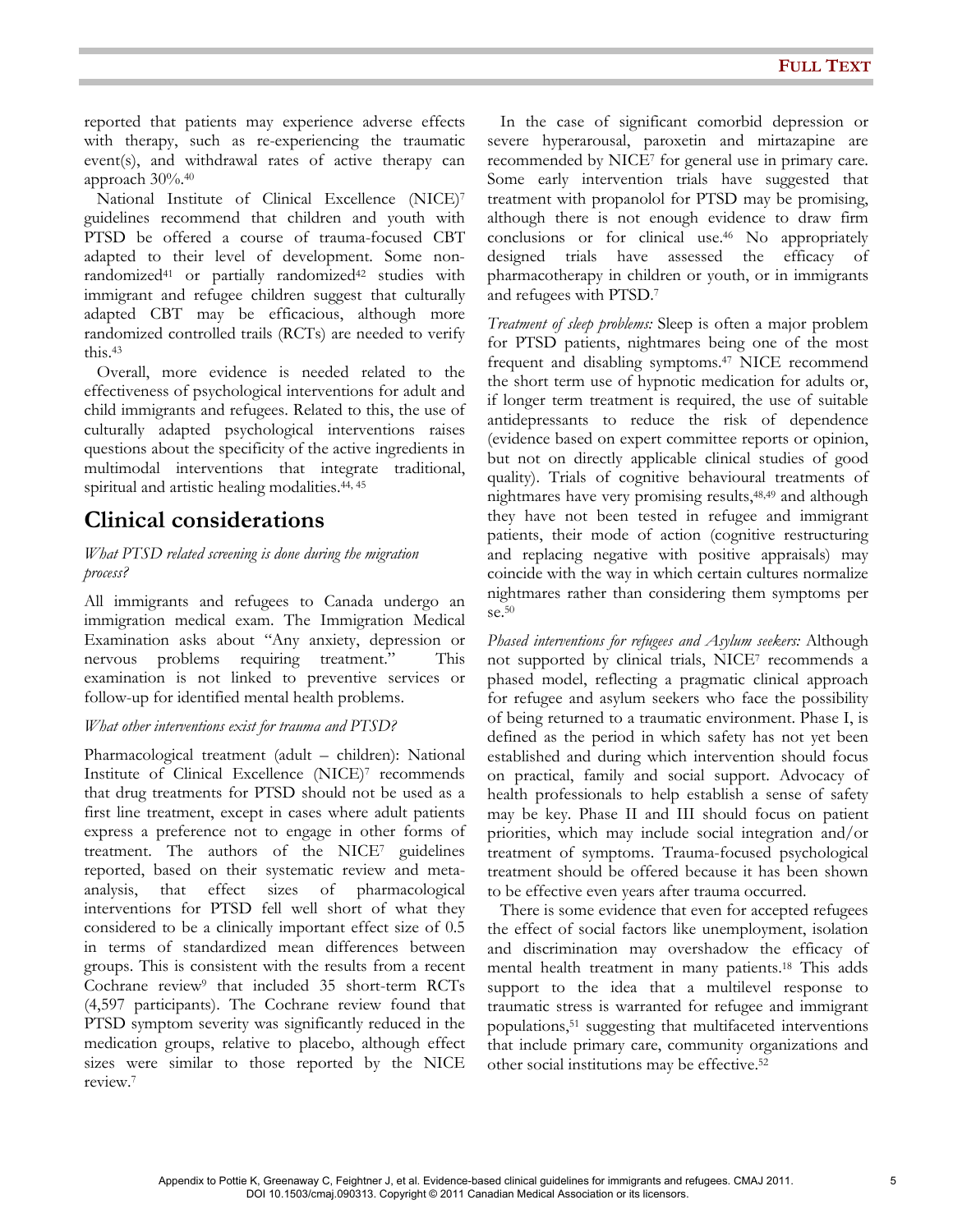reported that patients may experience adverse effects with therapy, such as re-experiencing the traumatic event(s), and withdrawal rates of active therapy can approach 30%.<sup>40</sup>

 National Institute of Clinical Excellence (NICE)<sup>7</sup> guidelines recommend that children and youth with PTSD be offered a course of trauma-focused CBT adapted to their level of development. Some nonrandomized<sup>41</sup> or partially randomized<sup>42</sup> studies with immigrant and refugee children suggest that culturally adapted CBT may be efficacious, although more randomized controlled trails (RCTs) are needed to verify this.<sup>43</sup>

 Overall, more evidence is needed related to the effectiveness of psychological interventions for adult and child immigrants and refugees. Related to this, the use of culturally adapted psychological interventions raises questions about the specificity of the active ingredients in multimodal interventions that integrate traditional, spiritual and artistic healing modalities.<sup>44, 45</sup>

## Clinical considerations

### What PTSD related screening is done during the migration process?

All immigrants and refugees to Canada undergo an immigration medical exam. The Immigration Medical Examination asks about "Any anxiety, depression or nervous problems requiring treatment." This examination is not linked to preventive services or follow-up for identified mental health problems.

### What other interventions exist for trauma and PTSD?

Pharmacological treatment (adult – children): National Institute of Clinical Excellence (NICE)<sup>7</sup> recommends that drug treatments for PTSD should not be used as a first line treatment, except in cases where adult patients express a preference not to engage in other forms of treatment. The authors of the NICE7 guidelines reported, based on their systematic review and metaanalysis, that effect sizes of pharmacological interventions for PTSD fell well short of what they considered to be a clinically important effect size of 0.5 in terms of standardized mean differences between groups. This is consistent with the results from a recent Cochrane review<sup>9</sup> that included 35 short-term RCTs (4,597 participants). The Cochrane review found that PTSD symptom severity was significantly reduced in the medication groups, relative to placebo, although effect sizes were similar to those reported by the NICE review.<sup>7</sup>

 In the case of significant comorbid depression or severe hyperarousal, paroxetin and mirtazapine are recommended by NICE<sup>7</sup> for general use in primary care. Some early intervention trials have suggested that treatment with propanolol for PTSD may be promising, although there is not enough evidence to draw firm conclusions or for clinical use.46 No appropriately designed trials have assessed the efficacy of pharmacotherapy in children or youth, or in immigrants and refugees with PTSD.<sup>7</sup>

Treatment of sleep problems: Sleep is often a major problem for PTSD patients, nightmares being one of the most frequent and disabling symptoms.47 NICE recommend the short term use of hypnotic medication for adults or, if longer term treatment is required, the use of suitable antidepressants to reduce the risk of dependence (evidence based on expert committee reports or opinion, but not on directly applicable clinical studies of good quality). Trials of cognitive behavioural treatments of nightmares have very promising results,48,49 and although they have not been tested in refugee and immigrant patients, their mode of action (cognitive restructuring and replacing negative with positive appraisals) may coincide with the way in which certain cultures normalize nightmares rather than considering them symptoms per se.<sup>50</sup>

Phased interventions for refugees and Asylum seekers: Although not supported by clinical trials, NICE<sup>7</sup> recommends a phased model, reflecting a pragmatic clinical approach for refugee and asylum seekers who face the possibility of being returned to a traumatic environment. Phase I, is defined as the period in which safety has not yet been established and during which intervention should focus on practical, family and social support. Advocacy of health professionals to help establish a sense of safety may be key. Phase II and III should focus on patient priorities, which may include social integration and/or treatment of symptoms. Trauma-focused psychological treatment should be offered because it has been shown to be effective even years after trauma occurred.

 There is some evidence that even for accepted refugees the effect of social factors like unemployment, isolation and discrimination may overshadow the efficacy of mental health treatment in many patients.18 This adds support to the idea that a multilevel response to traumatic stress is warranted for refugee and immigrant populations,51 suggesting that multifaceted interventions that include primary care, community organizations and other social institutions may be effective.<sup>52</sup>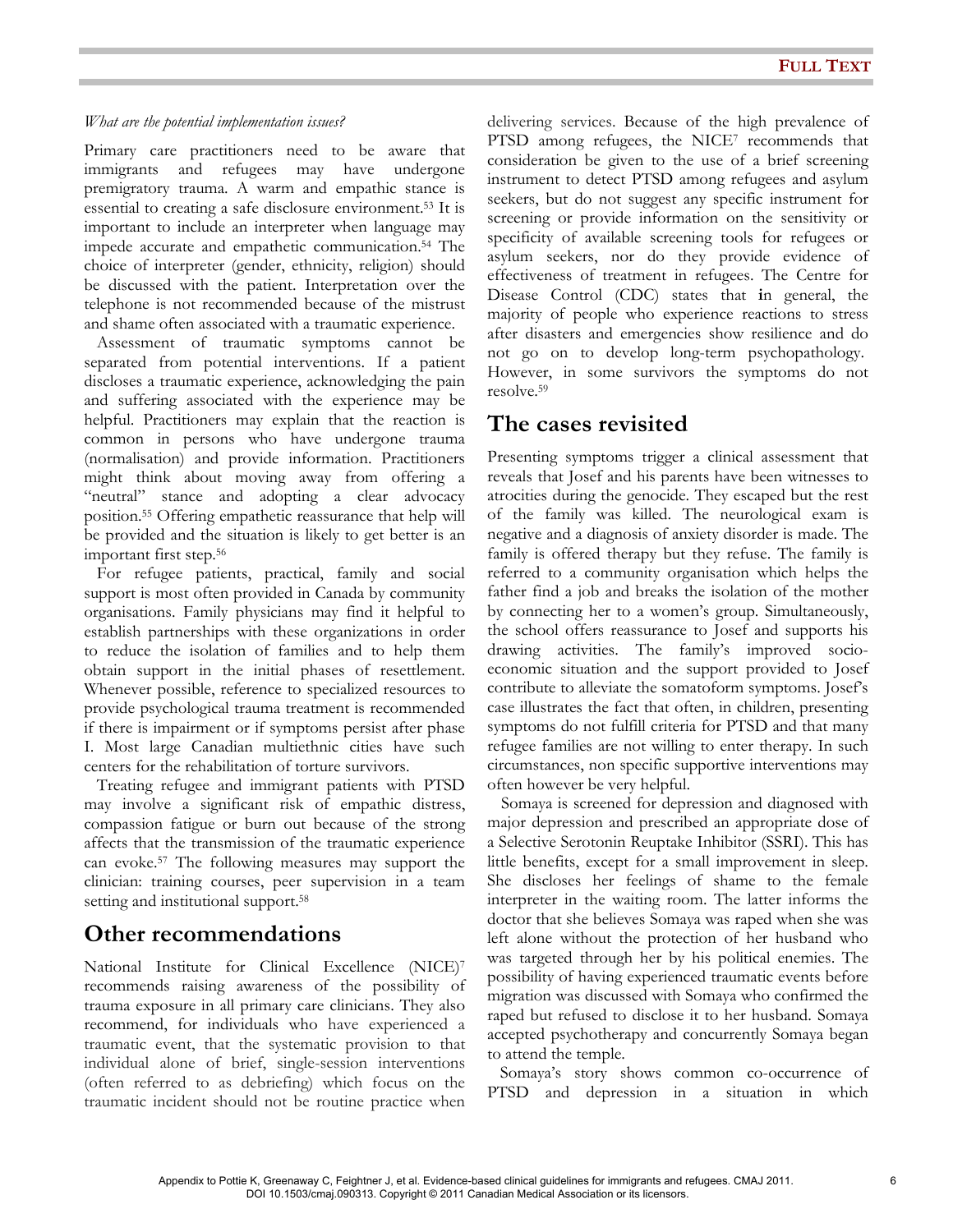#### What are the potential implementation issues?

Primary care practitioners need to be aware that immigrants and refugees may have undergone premigratory trauma. A warm and empathic stance is essential to creating a safe disclosure environment.53 It is important to include an interpreter when language may impede accurate and empathetic communication.54 The choice of interpreter (gender, ethnicity, religion) should be discussed with the patient. Interpretation over the telephone is not recommended because of the mistrust and shame often associated with a traumatic experience.

 Assessment of traumatic symptoms cannot be separated from potential interventions. If a patient discloses a traumatic experience, acknowledging the pain and suffering associated with the experience may be helpful. Practitioners may explain that the reaction is common in persons who have undergone trauma (normalisation) and provide information. Practitioners might think about moving away from offering a "neutral" stance and adopting a clear advocacy position.55 Offering empathetic reassurance that help will be provided and the situation is likely to get better is an important first step.<sup>56</sup>

 For refugee patients, practical, family and social support is most often provided in Canada by community organisations. Family physicians may find it helpful to establish partnerships with these organizations in order to reduce the isolation of families and to help them obtain support in the initial phases of resettlement. Whenever possible, reference to specialized resources to provide psychological trauma treatment is recommended if there is impairment or if symptoms persist after phase I. Most large Canadian multiethnic cities have such centers for the rehabilitation of torture survivors.

 Treating refugee and immigrant patients with PTSD may involve a significant risk of empathic distress, compassion fatigue or burn out because of the strong affects that the transmission of the traumatic experience can evoke.57 The following measures may support the clinician: training courses, peer supervision in a team setting and institutional support.<sup>58</sup>

## Other recommendations

National Institute for Clinical Excellence (NICE)<sup>7</sup> recommends raising awareness of the possibility of trauma exposure in all primary care clinicians. They also recommend, for individuals who have experienced a traumatic event, that the systematic provision to that individual alone of brief, single-session interventions (often referred to as debriefing) which focus on the traumatic incident should not be routine practice when delivering services. Because of the high prevalence of PTSD among refugees, the NICE7 recommends that consideration be given to the use of a brief screening instrument to detect PTSD among refugees and asylum seekers, but do not suggest any specific instrument for screening or provide information on the sensitivity or specificity of available screening tools for refugees or asylum seekers, nor do they provide evidence of effectiveness of treatment in refugees. The Centre for Disease Control (CDC) states that in general, the majority of people who experience reactions to stress after disasters and emergencies show resilience and do not go on to develop long-term psychopathology. However, in some survivors the symptoms do not resolve.<sup>59</sup>

## The cases revisited

Presenting symptoms trigger a clinical assessment that reveals that Josef and his parents have been witnesses to atrocities during the genocide. They escaped but the rest of the family was killed. The neurological exam is negative and a diagnosis of anxiety disorder is made. The family is offered therapy but they refuse. The family is referred to a community organisation which helps the father find a job and breaks the isolation of the mother by connecting her to a women's group. Simultaneously, the school offers reassurance to Josef and supports his drawing activities. The family's improved socioeconomic situation and the support provided to Josef contribute to alleviate the somatoform symptoms. Josef's case illustrates the fact that often, in children, presenting symptoms do not fulfill criteria for PTSD and that many refugee families are not willing to enter therapy. In such circumstances, non specific supportive interventions may often however be very helpful.

 Somaya is screened for depression and diagnosed with major depression and prescribed an appropriate dose of a Selective Serotonin Reuptake Inhibitor (SSRI). This has little benefits, except for a small improvement in sleep. She discloses her feelings of shame to the female interpreter in the waiting room. The latter informs the doctor that she believes Somaya was raped when she was left alone without the protection of her husband who was targeted through her by his political enemies. The possibility of having experienced traumatic events before migration was discussed with Somaya who confirmed the raped but refused to disclose it to her husband. Somaya accepted psychotherapy and concurrently Somaya began to attend the temple.

 Somaya's story shows common co-occurrence of PTSD and depression in a situation in which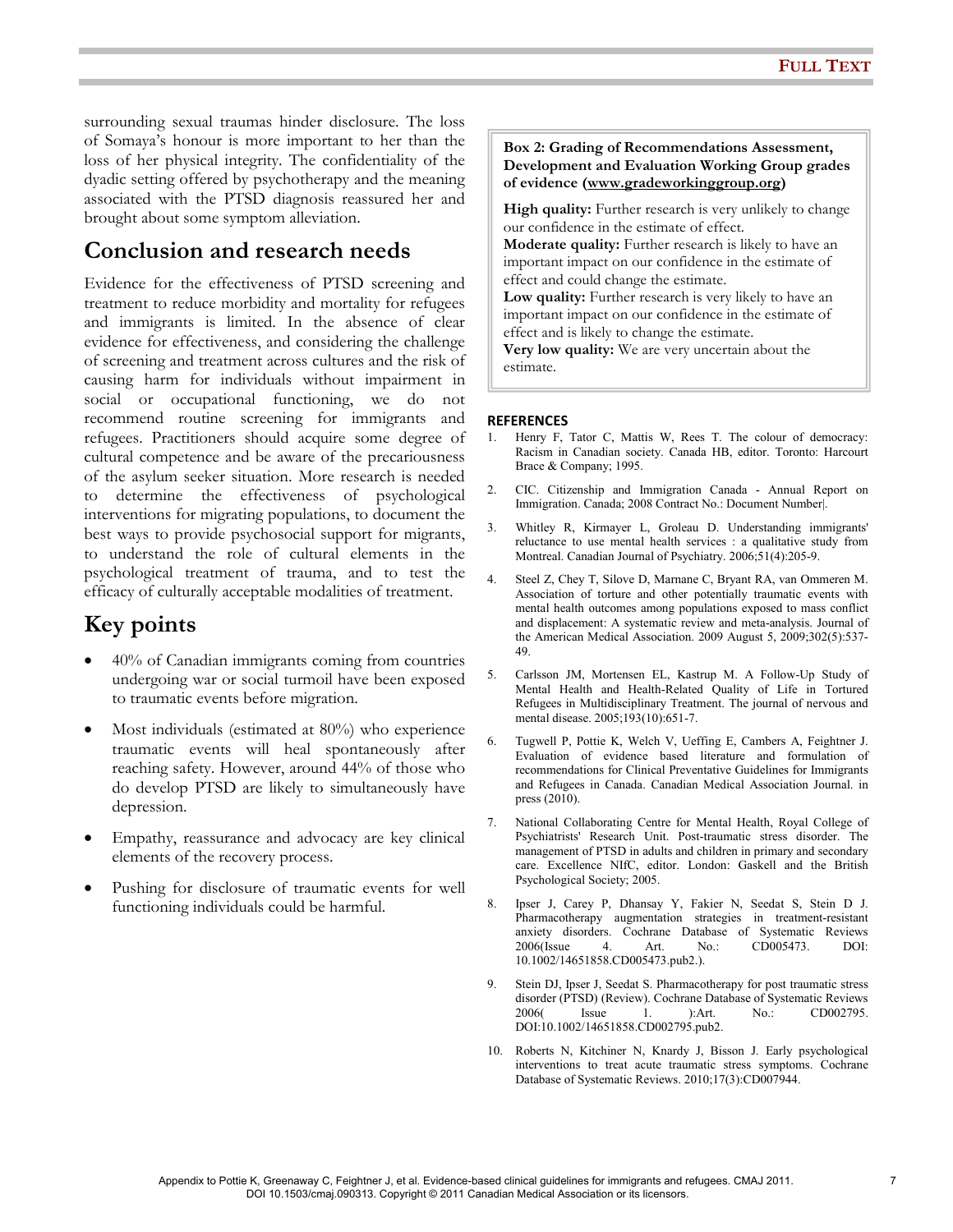surrounding sexual traumas hinder disclosure. The loss of Somaya's honour is more important to her than the loss of her physical integrity. The confidentiality of the dyadic setting offered by psychotherapy and the meaning associated with the PTSD diagnosis reassured her and brought about some symptom alleviation.

## Conclusion and research needs

Evidence for the effectiveness of PTSD screening and treatment to reduce morbidity and mortality for refugees and immigrants is limited. In the absence of clear evidence for effectiveness, and considering the challenge of screening and treatment across cultures and the risk of causing harm for individuals without impairment in social or occupational functioning, we do not recommend routine screening for immigrants and refugees. Practitioners should acquire some degree of cultural competence and be aware of the precariousness of the asylum seeker situation. More research is needed to determine the effectiveness of psychological interventions for migrating populations, to document the best ways to provide psychosocial support for migrants, to understand the role of cultural elements in the psychological treatment of trauma, and to test the efficacy of culturally acceptable modalities of treatment.

# Key points

- 40% of Canadian immigrants coming from countries undergoing war or social turmoil have been exposed to traumatic events before migration.
- Most individuals (estimated at 80%) who experience traumatic events will heal spontaneously after reaching safety. However, around 44% of those who do develop PTSD are likely to simultaneously have depression.
- Empathy, reassurance and advocacy are key clinical elements of the recovery process.
- Pushing for disclosure of traumatic events for well functioning individuals could be harmful.

#### Box 2: Grading of Recommendations Assessment, Development and Evaluation Working Group grades of evidence (www.gradeworkinggroup.org)

High quality: Further research is very unlikely to change our confidence in the estimate of effect.

Moderate quality: Further research is likely to have an important impact on our confidence in the estimate of effect and could change the estimate.

Low quality: Further research is very likely to have an important impact on our confidence in the estimate of effect and is likely to change the estimate.

Very low quality: We are very uncertain about the estimate.

### **REFERENCES**

- 1. Henry F, Tator C, Mattis W, Rees T. The colour of democracy: Racism in Canadian society. Canada HB, editor. Toronto: Harcourt Brace & Company; 1995.
- 2. CIC. Citizenship and Immigration Canada Annual Report on Immigration. Canada; 2008 Contract No.: Document Number|.
- 3. Whitley R, Kirmayer L, Groleau D. Understanding immigrants' reluctance to use mental health services : a qualitative study from Montreal. Canadian Journal of Psychiatry. 2006;51(4):205-9.
- 4. Steel Z, Chey T, Silove D, Marnane C, Bryant RA, van Ommeren M. Association of torture and other potentially traumatic events with mental health outcomes among populations exposed to mass conflict and displacement: A systematic review and meta-analysis. Journal of the American Medical Association. 2009 August 5, 2009;302(5):537- 49.
- 5. Carlsson JM, Mortensen EL, Kastrup M. A Follow-Up Study of Mental Health and Health-Related Quality of Life in Tortured Refugees in Multidisciplinary Treatment. The journal of nervous and mental disease. 2005;193(10):651-7.
- 6. Tugwell P, Pottie K, Welch V, Ueffing E, Cambers A, Feightner J. Evaluation of evidence based literature and formulation of recommendations for Clinical Preventative Guidelines for Immigrants and Refugees in Canada. Canadian Medical Association Journal. in press (2010).
- 7. National Collaborating Centre for Mental Health, Royal College of Psychiatrists' Research Unit. Post-traumatic stress disorder. The management of PTSD in adults and children in primary and secondary care. Excellence NIfC, editor. London: Gaskell and the British Psychological Society; 2005.
- 8. Ipser J, Carey P, Dhansay Y, Fakier N, Seedat S, Stein D J. Pharmacotherapy augmentation strategies in treatment-resistant anxiety disorders. Cochrane Database of Systematic Reviews 2006(Issue 4. Art. No.: CD005473. DOI: 10.1002/14651858.CD005473.pub2.).
- 9. Stein DJ, Ipser J, Seedat S. Pharmacotherapy for post traumatic stress disorder (PTSD) (Review). Cochrane Database of Systematic Reviews 2006( Issue 1. ):Art. No.: CD002795. DOI:10.1002/14651858.CD002795.pub2.
- 10. Roberts N, Kitchiner N, Knardy J, Bisson J. Early psychological interventions to treat acute traumatic stress symptoms. Cochrane Database of Systematic Reviews. 2010;17(3):CD007944.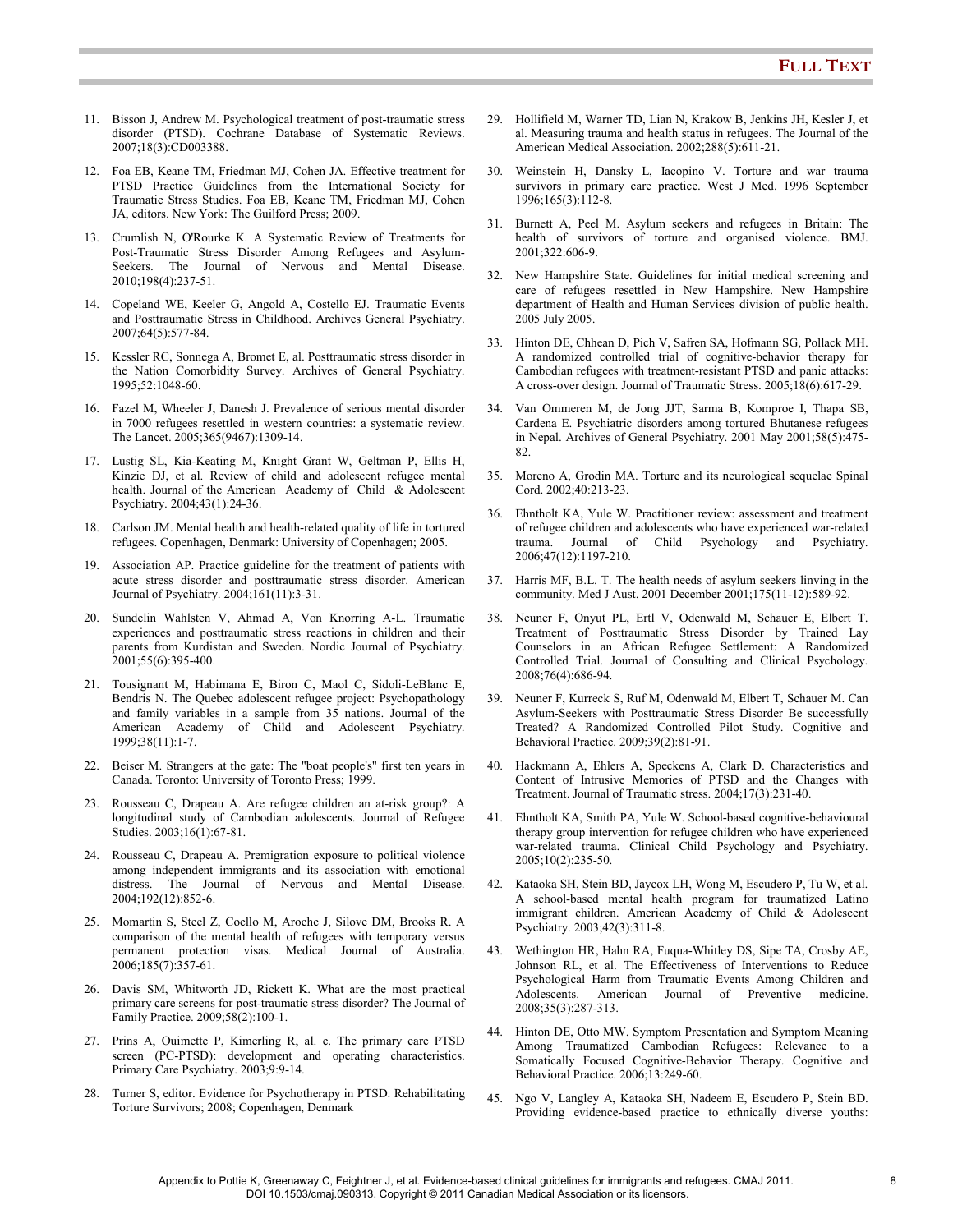- 11. Bisson J, Andrew M. Psychological treatment of post-traumatic stress disorder (PTSD). Cochrane Database of Systematic Reviews. 2007;18(3):CD003388.
- 12. Foa EB, Keane TM, Friedman MJ, Cohen JA. Effective treatment for PTSD Practice Guidelines from the International Society for Traumatic Stress Studies. Foa EB, Keane TM, Friedman MJ, Cohen JA, editors. New York: The Guilford Press; 2009.
- 13. Crumlish N, O'Rourke K. A Systematic Review of Treatments for Post-Traumatic Stress Disorder Among Refugees and Asylum-Seekers. The Journal of Nervous and Mental Disease. 2010;198(4):237-51.
- 14. Copeland WE, Keeler G, Angold A, Costello EJ. Traumatic Events and Posttraumatic Stress in Childhood. Archives General Psychiatry. 2007;64(5):577-84.
- 15. Kessler RC, Sonnega A, Bromet E, al. Posttraumatic stress disorder in the Nation Comorbidity Survey. Archives of General Psychiatry. 1995;52:1048-60.
- 16. Fazel M, Wheeler J, Danesh J. Prevalence of serious mental disorder in 7000 refugees resettled in western countries: a systematic review. The Lancet. 2005;365(9467):1309-14.
- 17. Lustig SL, Kia-Keating M, Knight Grant W, Geltman P, Ellis H, Kinzie DJ, et al. Review of child and adolescent refugee mental health. Journal of the American Academy of Child & Adolescent Psychiatry. 2004;43(1):24-36.
- 18. Carlson JM. Mental health and health-related quality of life in tortured refugees. Copenhagen, Denmark: University of Copenhagen; 2005.
- 19. Association AP. Practice guideline for the treatment of patients with acute stress disorder and posttraumatic stress disorder. American Journal of Psychiatry. 2004;161(11):3-31.
- 20. Sundelin Wahlsten V, Ahmad A, Von Knorring A-L. Traumatic experiences and posttraumatic stress reactions in children and their parents from Kurdistan and Sweden. Nordic Journal of Psychiatry. 2001;55(6):395-400.
- 21. Tousignant M, Habimana E, Biron C, Maol C, Sidoli-LeBlanc E, Bendris N. The Quebec adolescent refugee project: Psychopathology and family variables in a sample from 35 nations. Journal of the American Academy of Child and Adolescent Psychiatry. 1999;38(11):1-7.
- 22. Beiser M. Strangers at the gate: The "boat people's" first ten years in Canada. Toronto: University of Toronto Press; 1999.
- 23. Rousseau C, Drapeau A. Are refugee children an at-risk group?: A longitudinal study of Cambodian adolescents. Journal of Refugee Studies. 2003;16(1):67-81.
- 24. Rousseau C, Drapeau A. Premigration exposure to political violence among independent immigrants and its association with emotional distress. The Journal of Nervous and Mental Disease. 2004;192(12):852-6.
- 25. Momartin S, Steel Z, Coello M, Aroche J, Silove DM, Brooks R. A comparison of the mental health of refugees with temporary versus permanent protection visas. Medical Journal of Australia. 2006;185(7):357-61.
- 26. Davis SM, Whitworth JD, Rickett K. What are the most practical primary care screens for post-traumatic stress disorder? The Journal of Family Practice. 2009;58(2):100-1.
- 27. Prins A, Ouimette P, Kimerling R, al. e. The primary care PTSD screen (PC-PTSD): development and operating characteristics. Primary Care Psychiatry. 2003;9:9-14.
- 28. Turner S, editor. Evidence for Psychotherapy in PTSD. Rehabilitating Torture Survivors; 2008; Copenhagen, Denmark
- 29. Hollifield M, Warner TD, Lian N, Krakow B, Jenkins JH, Kesler J, et al. Measuring trauma and health status in refugees. The Journal of the American Medical Association. 2002;288(5):611-21.
- 30. Weinstein H, Dansky L, Iacopino V. Torture and war trauma survivors in primary care practice. West J Med. 1996 September 1996;165(3):112-8.
- 31. Burnett A, Peel M. Asylum seekers and refugees in Britain: The health of survivors of torture and organised violence. BMJ. 2001;322:606-9.
- 32. New Hampshire State. Guidelines for initial medical screening and care of refugees resettled in New Hampshire. New Hampshire department of Health and Human Services division of public health. 2005 July 2005.
- 33. Hinton DE, Chhean D, Pich V, Safren SA, Hofmann SG, Pollack MH. A randomized controlled trial of cognitive-behavior therapy for Cambodian refugees with treatment-resistant PTSD and panic attacks: A cross-over design. Journal of Traumatic Stress. 2005;18(6):617-29.
- 34. Van Ommeren M, de Jong JJT, Sarma B, Komproe I, Thapa SB, Cardena E. Psychiatric disorders among tortured Bhutanese refugees in Nepal. Archives of General Psychiatry. 2001 May 2001;58(5):475- 82.
- 35. Moreno A, Grodin MA. Torture and its neurological sequelae Spinal Cord. 2002;40:213-23.
- 36. Ehntholt KA, Yule W. Practitioner review: assessment and treatment of refugee children and adolescents who have experienced war-related trauma. Journal of Child Psychology and Psychiatry. 2006;47(12):1197-210.
- 37. Harris MF, B.L. T. The health needs of asylum seekers linving in the community. Med J Aust. 2001 December 2001;175(11-12):589-92.
- 38. Neuner F, Onyut PL, Ertl V, Odenwald M, Schauer E, Elbert T. Treatment of Posttraumatic Stress Disorder by Trained Lay Counselors in an African Refugee Settlement: A Randomized Controlled Trial. Journal of Consulting and Clinical Psychology. 2008;76(4):686-94.
- 39. Neuner F, Kurreck S, Ruf M, Odenwald M, Elbert T, Schauer M. Can Asylum-Seekers with Posttraumatic Stress Disorder Be successfully Treated? A Randomized Controlled Pilot Study. Cognitive and Behavioral Practice. 2009;39(2):81-91.
- 40. Hackmann A, Ehlers A, Speckens A, Clark D. Characteristics and Content of Intrusive Memories of PTSD and the Changes with Treatment. Journal of Traumatic stress. 2004;17(3):231-40.
- 41. Ehntholt KA, Smith PA, Yule W. School-based cognitive-behavioural therapy group intervention for refugee children who have experienced war-related trauma. Clinical Child Psychology and Psychiatry. 2005;10(2):235-50.
- 42. Kataoka SH, Stein BD, Jaycox LH, Wong M, Escudero P, Tu W, et al. A school-based mental health program for traumatized Latino immigrant children. American Academy of Child & Adolescent Psychiatry. 2003;42(3):311-8.
- 43. Wethington HR, Hahn RA, Fuqua-Whitley DS, Sipe TA, Crosby AE, Johnson RL, et al. The Effectiveness of Interventions to Reduce Psychological Harm from Traumatic Events Among Children and American Journal of Preventive medicine. 2008;35(3):287-313.
- 44. Hinton DE, Otto MW. Symptom Presentation and Symptom Meaning Among Traumatized Cambodian Refugees: Relevance to a Somatically Focused Cognitive-Behavior Therapy. Cognitive and Behavioral Practice. 2006;13:249-60.
- 45. Ngo V, Langley A, Kataoka SH, Nadeem E, Escudero P, Stein BD. Providing evidence-based practice to ethnically diverse youths: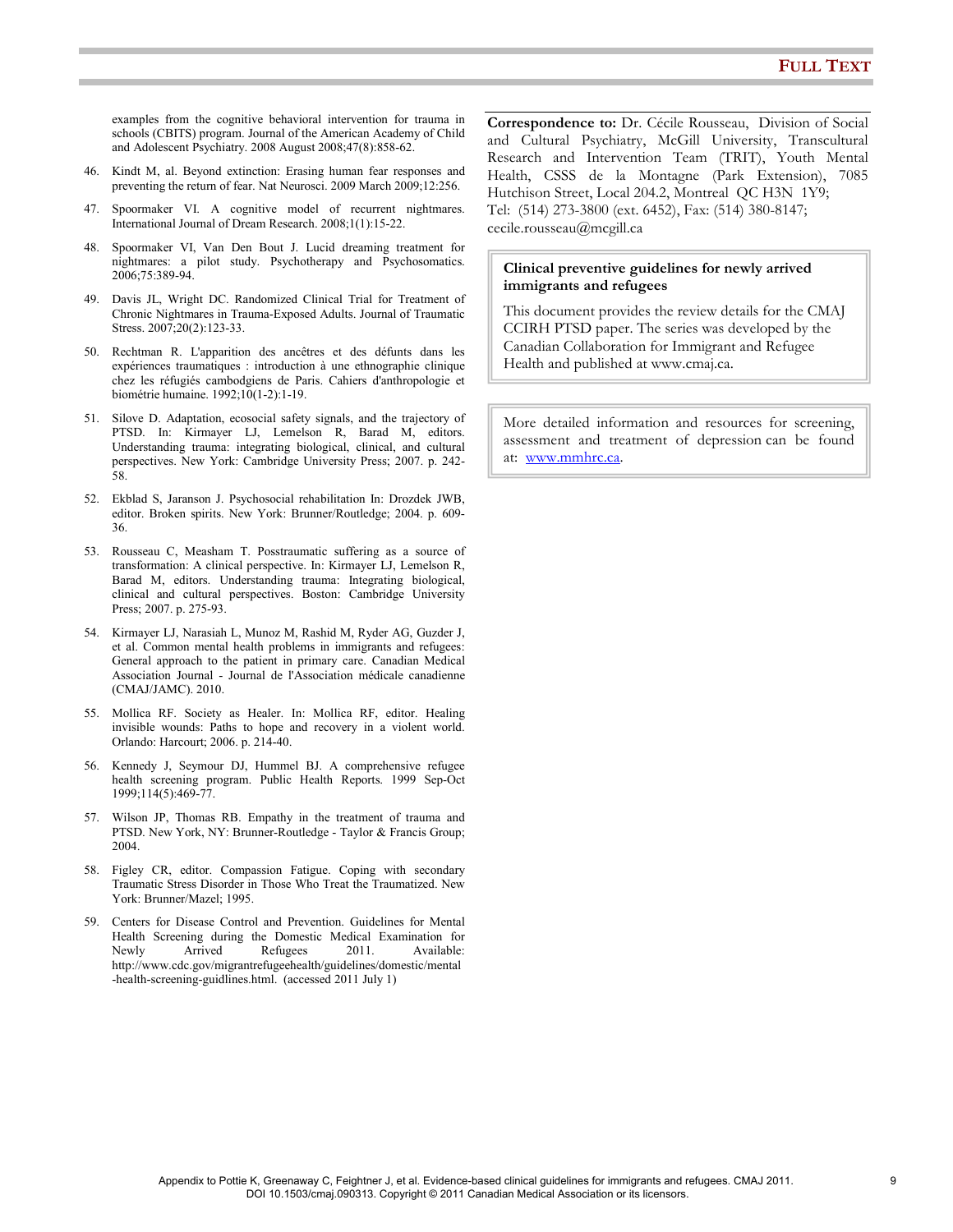examples from the cognitive behavioral intervention for trauma in schools (CBITS) program. Journal of the American Academy of Child and Adolescent Psychiatry. 2008 August 2008;47(8):858-62.

- 46. Kindt M, al. Beyond extinction: Erasing human fear responses and preventing the return of fear. Nat Neurosci. 2009 March 2009;12:256.
- 47. Spoormaker VI. A cognitive model of recurrent nightmares. International Journal of Dream Research. 2008;1(1):15-22.
- 48. Spoormaker VI, Van Den Bout J. Lucid dreaming treatment for nightmares: a pilot study. Psychotherapy and Psychosomatics. 2006;75:389-94.
- 49. Davis JL, Wright DC. Randomized Clinical Trial for Treatment of Chronic Nightmares in Trauma-Exposed Adults. Journal of Traumatic Stress. 2007;20(2):123-33.
- 50. Rechtman R. L'apparition des ancêtres et des défunts dans les expériences traumatiques : introduction à une ethnographie clinique chez les réfugiés cambodgiens de Paris. Cahiers d'anthropologie et biométrie humaine. 1992;10(1-2):1-19.
- 51. Silove D. Adaptation, ecosocial safety signals, and the trajectory of PTSD. In: Kirmayer LJ, Lemelson R, Barad M, editors. Understanding trauma: integrating biological, clinical, and cultural perspectives. New York: Cambridge University Press; 2007. p. 242- 58.
- 52. Ekblad S, Jaranson J. Psychosocial rehabilitation In: Drozdek JWB, editor. Broken spirits. New York: Brunner/Routledge; 2004. p. 609- 36.
- 53. Rousseau C, Measham T. Posstraumatic suffering as a source of transformation: A clinical perspective. In: Kirmayer LJ, Lemelson R, Barad M, editors. Understanding trauma: Integrating biological, clinical and cultural perspectives. Boston: Cambridge University Press; 2007. p. 275-93.
- 54. Kirmayer LJ, Narasiah L, Munoz M, Rashid M, Ryder AG, Guzder J, et al. Common mental health problems in immigrants and refugees: General approach to the patient in primary care. Canadian Medical Association Journal - Journal de l'Association médicale canadienne (CMAJ/JAMC). 2010.
- 55. Mollica RF. Society as Healer. In: Mollica RF, editor. Healing invisible wounds: Paths to hope and recovery in a violent world. Orlando: Harcourt; 2006. p. 214-40.
- 56. Kennedy J, Seymour DJ, Hummel BJ. A comprehensive refugee health screening program. Public Health Reports. 1999 Sep-Oct 1999;114(5):469-77.
- 57. Wilson JP, Thomas RB. Empathy in the treatment of trauma and PTSD. New York, NY: Brunner-Routledge - Taylor & Francis Group; 2004.
- 58. Figley CR, editor. Compassion Fatigue. Coping with secondary Traumatic Stress Disorder in Those Who Treat the Traumatized. New York: Brunner/Mazel; 1995.
- 59. Centers for Disease Control and Prevention. Guidelines for Mental Health Screening during the Domestic Medical Examination for Newly Arrived Refugees 2011. Available: http://www.cdc.gov/migrantrefugeehealth/guidelines/domestic/mental -health-screening-guidlines.html. (accessed 2011 July 1)

Correspondence to: Dr. Cécile Rousseau, Division of Social and Cultural Psychiatry, McGill University, Transcultural Research and Intervention Team (TRIT), Youth Mental Health, CSSS de la Montagne (Park Extension), 7085 Hutchison Street, Local 204.2, Montreal QC H3N 1Y9; Tel: (514) 273-3800 (ext. 6452), Fax: (514) 380-8147; cecile.rousseau@mcgill.ca

#### Clinical preventive guidelines for newly arrived immigrants and refugees

This document provides the review details for the CMAJ CCIRH PTSD paper. The series was developed by the Canadian Collaboration for Immigrant and Refugee Health and published at www.cmaj.ca.

More detailed information and resources for screening, assessment and treatment of depression can be found at: www.mmhrc.ca.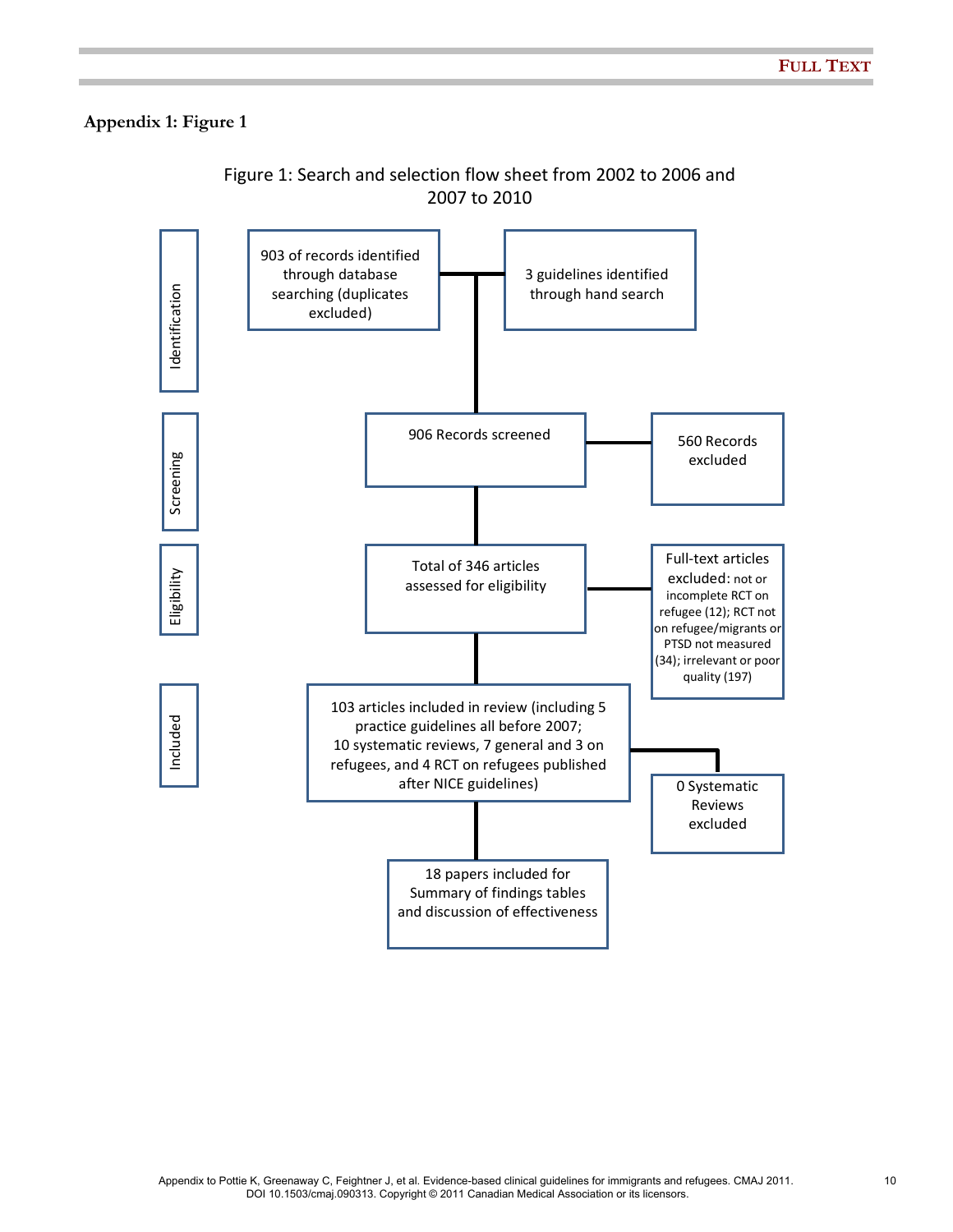## Appendix 1: Figure 1